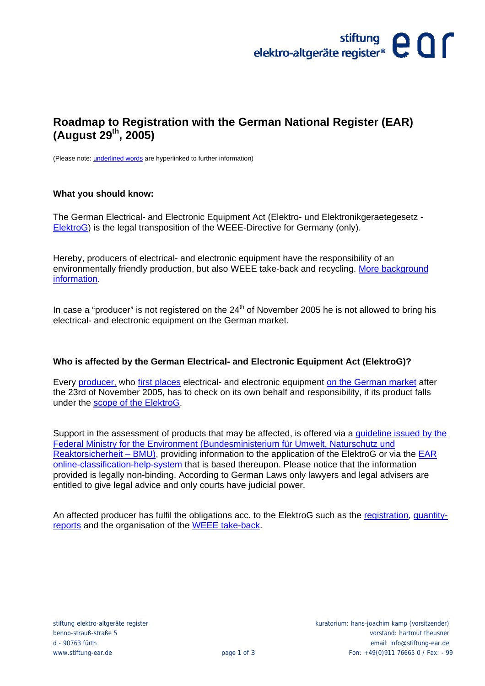# stiftung<br>elektro-altgeräte register<sup>®</sup> C O **C**

### **Roadmap to Registration with the German National Register (EAR) (August 29th, 2005)**

(Please note: underlined words are hyperlinked to further information)

#### **What you should know:**

The German Electrical- and Electronic Equipment Act (Elektro- und Elektronikgeraetegesetz - [ElektroG\)](http://www.bmu.de/files/pdfs/allgemein/application/pdf/elektrog_uk.pdf) is the legal transposition of the WEEE-Directive for Germany (only).

Hereby, producers of electrical- and electronic equipment have the responsibility of an environmentally friendly production, but also WEEE take-back and recycling. [More background](http://www.stiftung-ear.de/e43/e150/e698/e870/Presse_HintergrundpapierElektroGesetz_ger.pdf)  [information.](http://www.stiftung-ear.de/e43/e150/e698/e870/Presse_HintergrundpapierElektroGesetz_ger.pdf)

In case a "producer" is not registered on the  $24<sup>th</sup>$  of November 2005 he is not allowed to bring his electrical- and electronic equipment on the German market.

#### **Who is affected by the German Electrical- and Electronic Equipment Act (ElektroG)?**

Every [producer,](http://www.stiftung-ear.de/stiftungear/fragenundantworten/hersteller/) wh[o first places](http://www.stiftung-ear.de/stiftungear/fragenundantworten/inverkehrbringenerstmals/) electrical- and electronic equipment [on the German market](http://www.stiftung-ear.de/stiftungear/fragenundantworten/inverkehrbringenerstmals/) after the 23rd of November 2005, has to check on its own behalf and responsibility, if its product falls under the [scope of the ElektroG.](http://www.stiftung-ear.de/stiftungear/fragenundantworten/anwendungsbereichelektrog/)

Support in the assessment of products that may be affected, is offered via a [guideline issued by the](http://www.stiftung-ear.de/e43/e150/e698/e758/HinweiseAnwendungsbereichElektroG170605endg_gerv2_ger.pdf)  [Federal Ministry for the Environment \(Bundesministerium für Umwelt, Naturschutz und](http://www.stiftung-ear.de/e43/e150/e698/e758/HinweiseAnwendungsbereichElektroG170605endg_gerv2_ger.pdf)  [Reaktorsicherheit – BMU\),](http://www.stiftung-ear.de/e43/e150/e698/e758/HinweiseAnwendungsbereichElektroG170605endg_gerv2_ger.pdf) providing information to the application of the ElektroG or via the [EAR](http://www.stiftung-ear.de/hersteller/produkteinordnung/)  [online-classification-help-system](http://www.stiftung-ear.de/hersteller/produkteinordnung/) that is based thereupon. Please notice that the information provided is legally non-binding. According to German Laws only lawyers and legal advisers are entitled to give legal advice and only courts have judicial power.

An affected producer has fulfil the obligations acc. to the ElektroG such as the [registration,](http://www.stiftung-ear.de/stiftungear/fragenundantworten/registrierung/) [quantity](http://www.stiftung-ear.de/stiftungear/fragenundantworten/mengenmeldungenfristentermine/)[reports](http://www.stiftung-ear.de/stiftungear/fragenundantworten/mengenmeldungenfristentermine/) and the organisation of the [WEEE take-back.](http://www.stiftung-ear.de/stiftungear/fragenundantworten/ruecknahmeverwertungentsorgung/)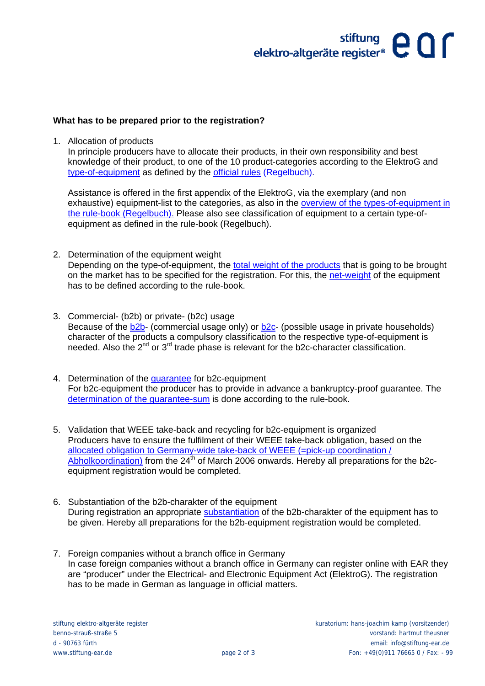# ${\rm either} \hspace{-0.1cm} \begin{array}{cc} \text{stiftung} \\ \text{elektro-altgeräte register*} \end{array} \hspace{-0.1cm} \begin{array}{cc} \bigcirc \\ \text{Cl} \end{array} \hspace{-0.1cm} \begin{array}{cc} \text{cl} \end{array}$

### **What has to be prepared prior to the registration?**

1. Allocation of products

In principle producers have to allocate their products, in their own responsibility and best knowledge of their product, to one of the 10 product-categories according to the ElektroG and [type-of-equipment](http://www.stiftung-ear.de/stiftungear/fragenundantworten/geraeteart/) as defined by the [official rules \(Regelbuch\).](http://www.stiftung-ear.de/regelbuch/)

Assistance is offered in the first appendix of the ElektroG, via the exemplary (and non exhaustive) equipment-list to the categories, as also in the [overview of the types-of-equipment in](http://www.stiftung-ear.de/e43/e150/e698/e713/qa_ear_geraetearten_zusammenfassung2_ger.pdf)  [the rule-book \(Regelbuch\).](http://www.stiftung-ear.de/e43/e150/e698/e713/qa_ear_geraetearten_zusammenfassung2_ger.pdf) Please also see classification of equipment to a certain type-ofequipment as defined in the rule-book (Regelbuch).

- 2. Determination of the equipment weight Depending on the type-of-equipment, the [total weight of the products](http://www.stiftung-ear.de/stiftungear/fragenundantworten/menge/) that is going to be brought on the market has to be specified for the registration. For this, th[e net-weight](http://www.stiftung-ear.de/e129/e145/regeln302/Input_ger.pdf) of the equipment has to be defined according to the rule-book.
- 3. Commercial- (b2b) or private- (b2c) usage Because of the b<sub>2</sub>b- (commercial usage only) or b<sub>2c</sub>- (possible usage in private households) character of the products a compulsory classification to the respective type-of-equipment is needed. Also the  $2^{nd}$  or  $3^{rd}$  trade phase is relevant for the b2c-character classification.
- 4. Determination of the quarantee for b2c-equipment For b2c-equipment the producer has to provide in advance a bankruptcy-proof guarantee. The [determination of the guarantee-sum](http://www.stiftung-ear.de/e129/e145/regeln816/Garantiedaten_ger.pdf) is done according to the rule-book.
- 5. Validation that WEEE take-back and recycling for b2c-equipment is organized Producers have to ensure the fulfilment of their WEEE take-back obligation, based on the [allocated obligation to Germany-wide take-back of WEEE \(=pick-up coordination /](http://www.stiftung-ear.de/stiftungear/fragenundantworten/abholkoordination/)   $\overline{Abholkoordination}$  from the 24<sup>th</sup> of March 2006 onwards. Hereby all preparations for the b2cequipment registration would be completed.
- 6. Substantiation of the b2b-charakter of the equipment During registration an appropriate [substantiation](http://www.stiftung-ear.de/stiftungear/fragenundantworten/b2bgeraete/) of the b2b-charakter of the equipment has to be given. Hereby all preparations for the b2b-equipment registration would be completed.
- 7. Foreign companies without a branch office in Germany In case foreign companies without a branch office in Germany can register online with EAR they are "producer" under the Electrical- and Electronic Equipment Act (ElektroG). The registration has to be made in German as language in official matters.